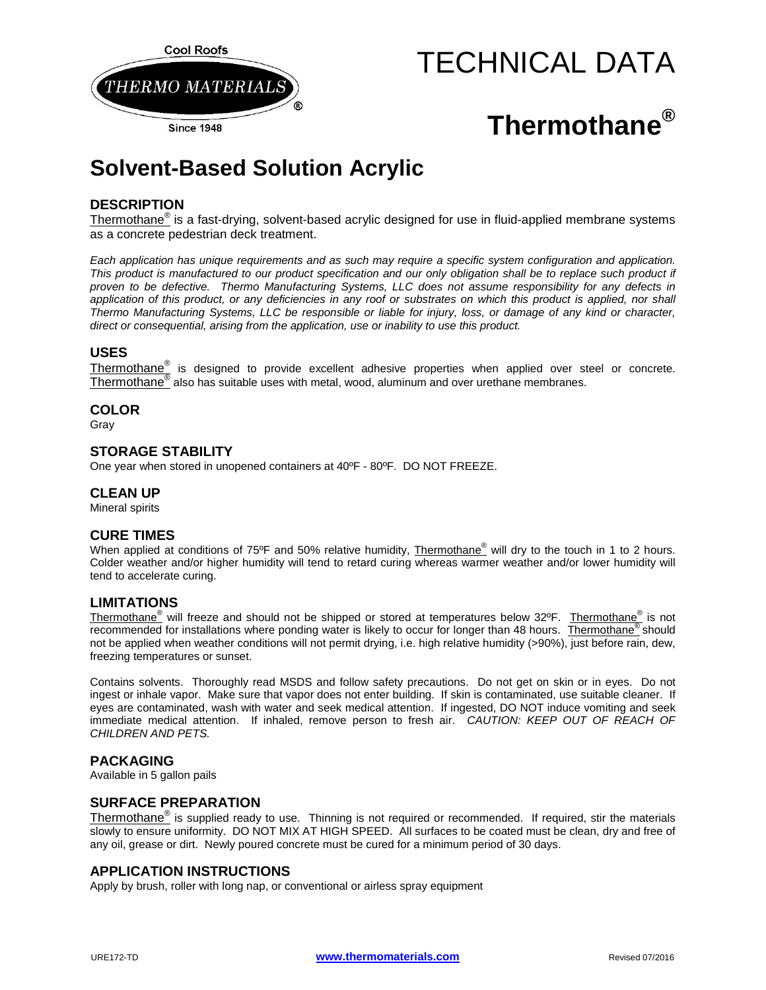

# TECHNICAL DATA

# **Thermothane®**

# **Solvent-Based Solution Acrylic**

# **DESCRIPTION**

Thermothane<sup>®</sup> is a fast-drying, solvent-based acrylic designed for use in fluid-applied membrane systems as a concrete pedestrian deck treatment.

*Each application has unique requirements and as such may require a specific system configuration and application.*  This product is manufactured to our product specification and our only obligation shall be to replace such product if *proven to be defective. Thermo Manufacturing Systems, LLC does not assume responsibility for any defects in*  application of this product, or any deficiencies in any roof or substrates on which this product is applied, nor shall *Thermo Manufacturing Systems, LLC be responsible or liable for injury, loss, or damage of any kind or character, direct or consequential, arising from the application, use or inability to use this product.*

# **USES**

Thermothane® is designed to provide excellent adhesive properties when applied over steel or concrete. Thermothane® also has suitable uses with metal, wood, aluminum and over urethane membranes.

## **COLOR**

Gray

#### **STORAGE STABILITY**

One year when stored in unopened containers at 40ºF - 80ºF. DO NOT FREEZE.

#### **CLEAN UP**

Mineral spirits

## **CURE TIMES**

When applied at conditions of 75°F and 50% relative humidity, Thermothane<sup>®</sup> will dry to the touch in 1 to 2 hours. Colder weather and/or higher humidity will tend to retard curing whereas warmer weather and/or lower humidity will tend to accelerate curing.

## **LIMITATIONS**

Thermothane® will freeze and should not be shipped or stored at temperatures below 32ºF. Thermothane® is not recommended for installations where ponding water is likely to occur for longer than 48 hours. Thermothane<sup>®</sup> should not be applied when weather conditions will not permit drying, i.e. high relative humidity (>90%), just before rain, dew, freezing temperatures or sunset.

Contains solvents. Thoroughly read MSDS and follow safety precautions. Do not get on skin or in eyes. Do not ingest or inhale vapor. Make sure that vapor does not enter building. If skin is contaminated, use suitable cleaner. If eyes are contaminated, wash with water and seek medical attention. If ingested, DO NOT induce vomiting and seek immediate medical attention. If inhaled, remove person to fresh air. *CAUTION: KEEP OUT OF REACH OF CHILDREN AND PETS.* 

#### **PACKAGING**

Available in 5 gallon pails

#### **SURFACE PREPARATION**

Thermothane<sup>®</sup> is supplied ready to use. Thinning is not required or recommended. If required, stir the materials slowly to ensure uniformity. DO NOT MIX AT HIGH SPEED. All surfaces to be coated must be clean, dry and free of any oil, grease or dirt. Newly poured concrete must be cured for a minimum period of 30 days.

#### **APPLICATION INSTRUCTIONS**

Apply by brush, roller with long nap, or conventional or airless spray equipment